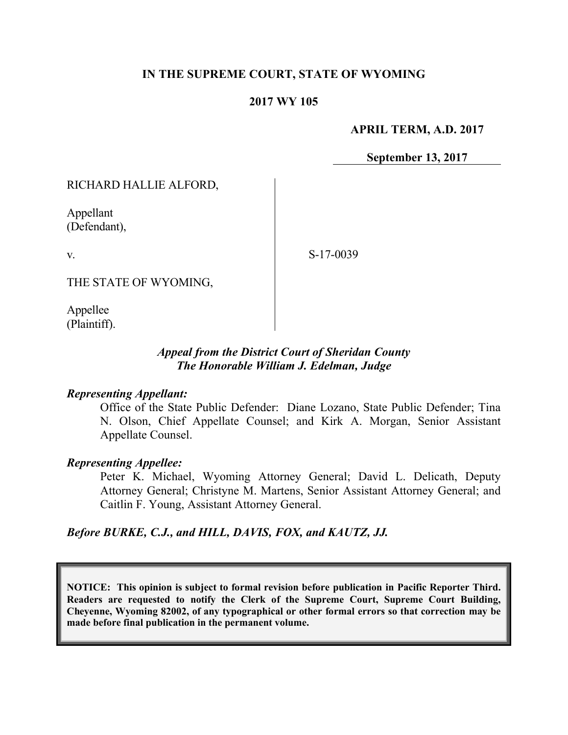# **IN THE SUPREME COURT, STATE OF WYOMING**

### **2017 WY 105**

**APRIL TERM, A.D. 2017**

**September 13, 2017**

RICHARD HALLIE ALFORD,

Appellant (Defendant),

v.

S-17-0039

THE STATE OF WYOMING,

Appellee (Plaintiff).

# *Appeal from the District Court of Sheridan County The Honorable William J. Edelman, Judge*

### *Representing Appellant:*

Office of the State Public Defender: Diane Lozano, State Public Defender; Tina N. Olson, Chief Appellate Counsel; and Kirk A. Morgan, Senior Assistant Appellate Counsel.

#### *Representing Appellee:*

Peter K. Michael, Wyoming Attorney General; David L. Delicath, Deputy Attorney General; Christyne M. Martens, Senior Assistant Attorney General; and Caitlin F. Young, Assistant Attorney General.

### *Before BURKE, C.J., and HILL, DAVIS, FOX, and KAUTZ, JJ.*

**NOTICE: This opinion is subject to formal revision before publication in Pacific Reporter Third. Readers are requested to notify the Clerk of the Supreme Court, Supreme Court Building, Cheyenne, Wyoming 82002, of any typographical or other formal errors so that correction may be made before final publication in the permanent volume.**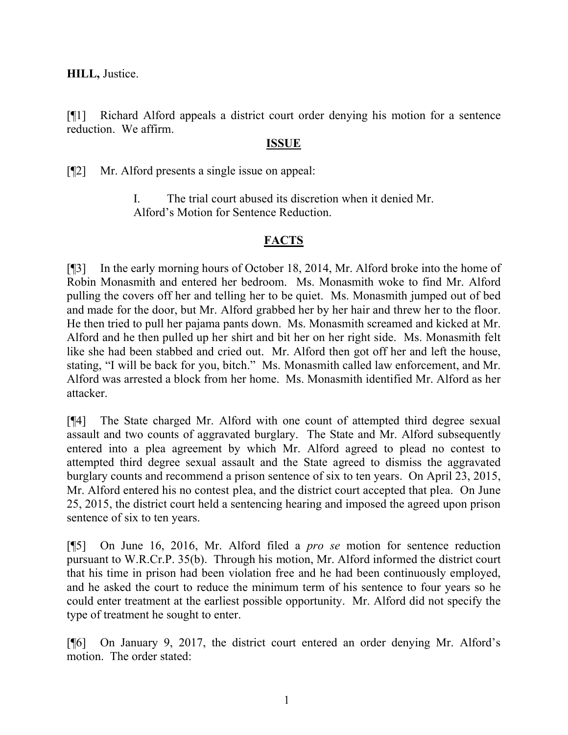**HILL,** Justice.

[¶1] Richard Alford appeals a district court order denying his motion for a sentence reduction. We affirm.

## **ISSUE**

[¶2] Mr. Alford presents a single issue on appeal:

I. The trial court abused its discretion when it denied Mr. Alford's Motion for Sentence Reduction.

# **FACTS**

[¶3] In the early morning hours of October 18, 2014, Mr. Alford broke into the home of Robin Monasmith and entered her bedroom. Ms. Monasmith woke to find Mr. Alford pulling the covers off her and telling her to be quiet. Ms. Monasmith jumped out of bed and made for the door, but Mr. Alford grabbed her by her hair and threw her to the floor. He then tried to pull her pajama pants down. Ms. Monasmith screamed and kicked at Mr. Alford and he then pulled up her shirt and bit her on her right side. Ms. Monasmith felt like she had been stabbed and cried out. Mr. Alford then got off her and left the house, stating, "I will be back for you, bitch." Ms. Monasmith called law enforcement, and Mr. Alford was arrested a block from her home. Ms. Monasmith identified Mr. Alford as her attacker.

[¶4] The State charged Mr. Alford with one count of attempted third degree sexual assault and two counts of aggravated burglary. The State and Mr. Alford subsequently entered into a plea agreement by which Mr. Alford agreed to plead no contest to attempted third degree sexual assault and the State agreed to dismiss the aggravated burglary counts and recommend a prison sentence of six to ten years. On April 23, 2015, Mr. Alford entered his no contest plea, and the district court accepted that plea. On June 25, 2015, the district court held a sentencing hearing and imposed the agreed upon prison sentence of six to ten years.

[¶5] On June 16, 2016, Mr. Alford filed a *pro se* motion for sentence reduction pursuant to W.R.Cr.P. 35(b). Through his motion, Mr. Alford informed the district court that his time in prison had been violation free and he had been continuously employed, and he asked the court to reduce the minimum term of his sentence to four years so he could enter treatment at the earliest possible opportunity. Mr. Alford did not specify the type of treatment he sought to enter.

[¶6] On January 9, 2017, the district court entered an order denying Mr. Alford's motion. The order stated: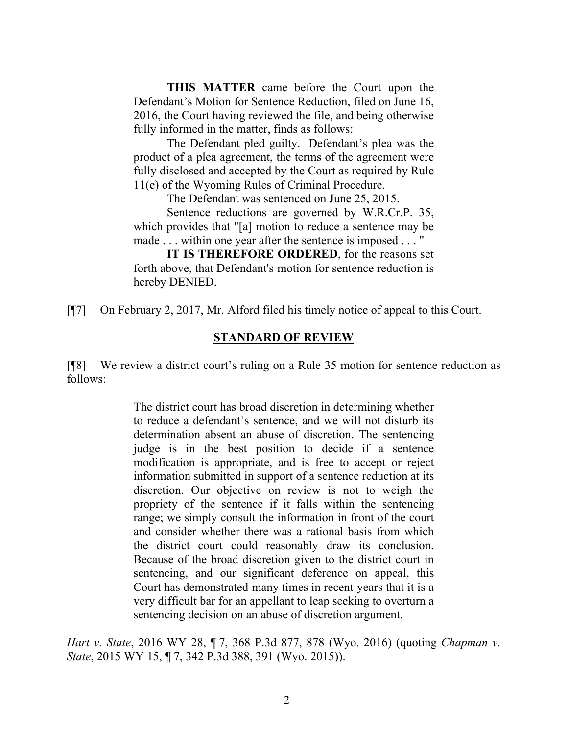**THIS MATTER** came before the Court upon the Defendant's Motion for Sentence Reduction, filed on June 16, 2016, the Court having reviewed the file, and being otherwise fully informed in the matter, finds as follows:

The Defendant pled guilty. Defendant's plea was the product of a plea agreement, the terms of the agreement were fully disclosed and accepted by the Court as required by Rule 11(e) of the Wyoming Rules of Criminal Procedure.

The Defendant was sentenced on June 25, 2015.

Sentence reductions are governed by W.R.Cr.P. 35, which provides that "[a] motion to reduce a sentence may be made . . . within one year after the sentence is imposed . . . "

**IT IS THEREFORE ORDERED**, for the reasons set forth above, that Defendant's motion for sentence reduction is hereby DENIED.

[¶7] On February 2, 2017, Mr. Alford filed his timely notice of appeal to this Court.

#### **STANDARD OF REVIEW**

[¶8] We review a district court's ruling on a Rule 35 motion for sentence reduction as follows:

> The district court has broad discretion in determining whether to reduce a defendant's sentence, and we will not disturb its determination absent an abuse of discretion. The sentencing judge is in the best position to decide if a sentence modification is appropriate, and is free to accept or reject information submitted in support of a sentence reduction at its discretion. Our objective on review is not to weigh the propriety of the sentence if it falls within the sentencing range; we simply consult the information in front of the court and consider whether there was a rational basis from which the district court could reasonably draw its conclusion. Because of the broad discretion given to the district court in sentencing, and our significant deference on appeal, this Court has demonstrated many times in recent years that it is a very difficult bar for an appellant to leap seeking to overturn a sentencing decision on an abuse of discretion argument.

*Hart v. State*, 2016 WY 28, ¶ 7, 368 P.3d 877, 878 (Wyo. 2016) (quoting *Chapman v. State*, 2015 WY 15, ¶ 7, 342 P.3d 388, 391 (Wyo. 2015)).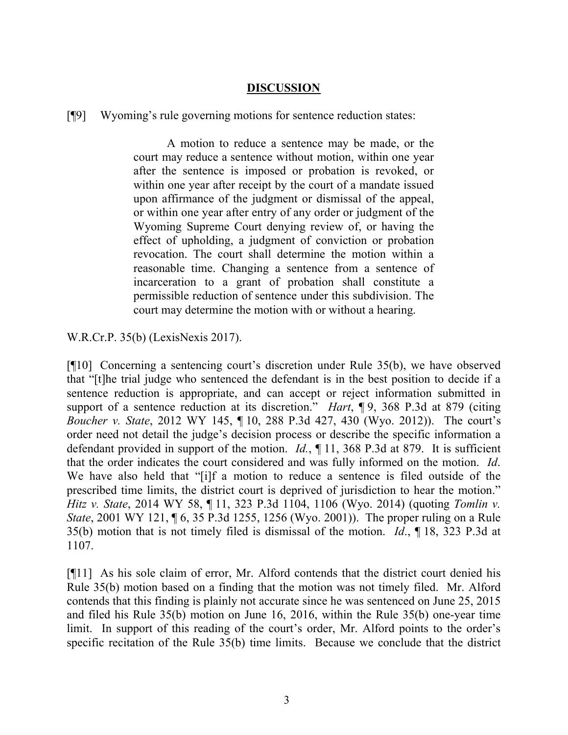## **DISCUSSION**

[¶9] Wyoming's rule governing motions for sentence reduction states:

A motion to reduce a sentence may be made, or the court may reduce a sentence without motion, within one year after the sentence is imposed or probation is revoked, or within one year after receipt by the court of a mandate issued upon affirmance of the judgment or dismissal of the appeal, or within one year after entry of any order or judgment of the Wyoming Supreme Court denying review of, or having the effect of upholding, a judgment of conviction or probation revocation. The court shall determine the motion within a reasonable time. Changing a sentence from a sentence of incarceration to a grant of probation shall constitute a permissible reduction of sentence under this subdivision. The court may determine the motion with or without a hearing.

W.R.Cr.P. 35(b) (LexisNexis 2017).

[¶10] Concerning a sentencing court's discretion under Rule 35(b), we have observed that "[t]he trial judge who sentenced the defendant is in the best position to decide if a sentence reduction is appropriate, and can accept or reject information submitted in support of a sentence reduction at its discretion." *Hart*, ¶ 9, 368 P.3d at 879 (citing *Boucher v. State*, 2012 WY 145, ¶ 10, 288 P.3d 427, 430 (Wyo. 2012)). The court's order need not detail the judge's decision process or describe the specific information a defendant provided in support of the motion. *Id.*, ¶ 11, 368 P.3d at 879. It is sufficient that the order indicates the court considered and was fully informed on the motion. *Id*. We have also held that "[i]f a motion to reduce a sentence is filed outside of the prescribed time limits, the district court is deprived of jurisdiction to hear the motion." *Hitz v. State*, 2014 WY 58, ¶ 11, 323 P.3d 1104, 1106 (Wyo. 2014) (quoting *Tomlin v. State*, 2001 WY 121, 16, 35 P.3d 1255, 1256 (Wyo. 2001)). The proper ruling on a Rule 35(b) motion that is not timely filed is dismissal of the motion. *Id*., ¶ 18, 323 P.3d at 1107.

[¶11] As his sole claim of error, Mr. Alford contends that the district court denied his Rule 35(b) motion based on a finding that the motion was not timely filed. Mr. Alford contends that this finding is plainly not accurate since he was sentenced on June 25, 2015 and filed his Rule 35(b) motion on June 16, 2016, within the Rule 35(b) one-year time limit. In support of this reading of the court's order, Mr. Alford points to the order's specific recitation of the Rule 35(b) time limits. Because we conclude that the district